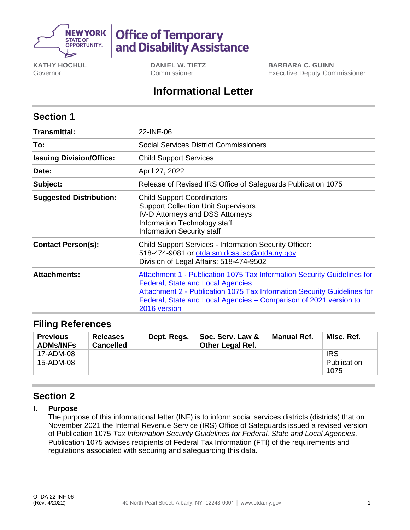

# **Office of Temporary** and Disability Assistance

**KATHY HOCHUL** Governor

**DANIEL W. TIETZ** Commissioner

**BARBARA C. GUINN** Executive Deputy Commissioner

## **Informational Letter**

| <b>Section 1</b>                |                                                                                                                                                                                                                                                                                     |  |  |  |
|---------------------------------|-------------------------------------------------------------------------------------------------------------------------------------------------------------------------------------------------------------------------------------------------------------------------------------|--|--|--|
| Transmittal:                    | 22-INF-06                                                                                                                                                                                                                                                                           |  |  |  |
| To:                             | <b>Social Services District Commissioners</b>                                                                                                                                                                                                                                       |  |  |  |
| <b>Issuing Division/Office:</b> | <b>Child Support Services</b>                                                                                                                                                                                                                                                       |  |  |  |
| Date:                           | April 27, 2022                                                                                                                                                                                                                                                                      |  |  |  |
| Subject:                        | Release of Revised IRS Office of Safeguards Publication 1075                                                                                                                                                                                                                        |  |  |  |
| <b>Suggested Distribution:</b>  | <b>Child Support Coordinators</b><br><b>Support Collection Unit Supervisors</b><br>IV-D Attorneys and DSS Attorneys<br>Information Technology staff<br><b>Information Security staff</b>                                                                                            |  |  |  |
| <b>Contact Person(s):</b>       | <b>Child Support Services - Information Security Officer:</b><br>518-474-9081 or otda.sm.dcss.iso@otda.ny.gov<br>Division of Legal Affairs: 518-474-9502                                                                                                                            |  |  |  |
| <b>Attachments:</b>             | Attachment 1 - Publication 1075 Tax Information Security Guidelines for<br><b>Federal, State and Local Agencies</b><br>Attachment 2 - Publication 1075 Tax Information Security Guidelines for<br>Federal, State and Local Agencies - Comparison of 2021 version to<br>2016 version |  |  |  |

### **Filing References**

| <b>Previous</b><br><b>ADMs/INFs</b> | <b>Releases</b><br><b>Cancelled</b> | Dept. Regs. | Soc. Serv. Law &<br><b>Other Legal Ref.</b> | <b>Manual Ref.</b> | Misc. Ref.                        |
|-------------------------------------|-------------------------------------|-------------|---------------------------------------------|--------------------|-----------------------------------|
| 17-ADM-08<br>15-ADM-08              |                                     |             |                                             |                    | <b>IRS</b><br>Publication<br>1075 |

## **Section 2**

#### **I. Purpose**

The purpose of this informational letter (INF) is to inform social services districts (districts) that on November 2021 the Internal Revenue Service (IRS) Office of Safeguards issued a revised version of Publication 1075 *Tax Information Security Guidelines for Federal, State and Local Agencies*. Publication 1075 advises recipients of Federal Tax Information (FTI) of the requirements and regulations associated with securing and safeguarding this data.